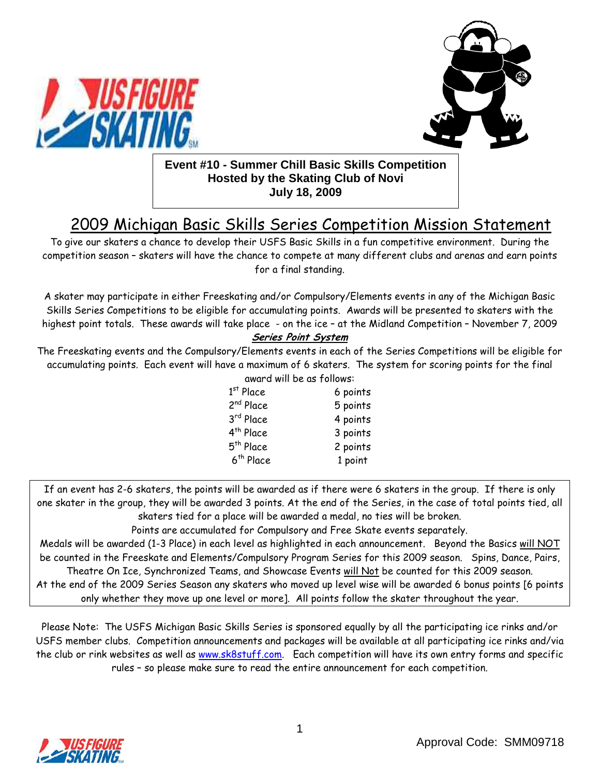



### **Event #10 - Summer Chill Basic Skills Competition Hosted by the Skating Club of Novi July 18, 2009**

# 2009 Michigan Basic Skills Series Competition Mission Statement

To give our skaters a chance to develop their USFS Basic Skills in a fun competitive environment. During the competition season – skaters will have the chance to compete at many different clubs and arenas and earn points for a final standing.

A skater may participate in either Freeskating and/or Compulsory/Elements events in any of the Michigan Basic Skills Series Competitions to be eligible for accumulating points. Awards will be presented to skaters with the highest point totals. These awards will take place - on the ice – at the Midland Competition – November 7, 2009

#### Series Point System

The Freeskating events and the Compulsory/Elements events in each of the Series Competitions will be eligible for accumulating points. Each event will have a maximum of 6 skaters. The system for scoring points for the final

| award will be as follows: |          |  |  |  |
|---------------------------|----------|--|--|--|
| $1st$ Place               | 6 points |  |  |  |
| 2 <sup>nd</sup> Place     | 5 points |  |  |  |
| 3rd Place                 | 4 points |  |  |  |
| 4 <sup>th</sup> Place     | 3 points |  |  |  |
| 5 <sup>th</sup> Place     | 2 points |  |  |  |
| 6 <sup>th</sup> Place     | 1 point  |  |  |  |
|                           |          |  |  |  |

If an event has 2-6 skaters, the points will be awarded as if there were 6 skaters in the group. If there is only one skater in the group, they will be awarded 3 points. At the end of the Series, in the case of total points tied, all skaters tied for a place will be awarded a medal, no ties will be broken.

Points are accumulated for Compulsory and Free Skate events separately.

Medals will be awarded (1-3 Place) in each level as highlighted in each announcement. Beyond the Basics will NOT be counted in the Freeskate and Elements/Compulsory Program Series for this 2009 season. Spins, Dance, Pairs, Theatre On Ice, Synchronized Teams, and Showcase Events will Not be counted for this 2009 season. At the end of the 2009 Series Season any skaters who moved up level wise will be awarded 6 bonus points [6 points only whether they move up one level or more]. All points follow the skater throughout the year.

Please Note: The USFS Michigan Basic Skills Series is sponsored equally by all the participating ice rinks and/or USFS member clubs. Competition announcements and packages will be available at all participating ice rinks and/via the club or rink websites as well as www.sk8stuff.com. Each competition will have its own entry forms and specific rules – so please make sure to read the entire announcement for each competition.

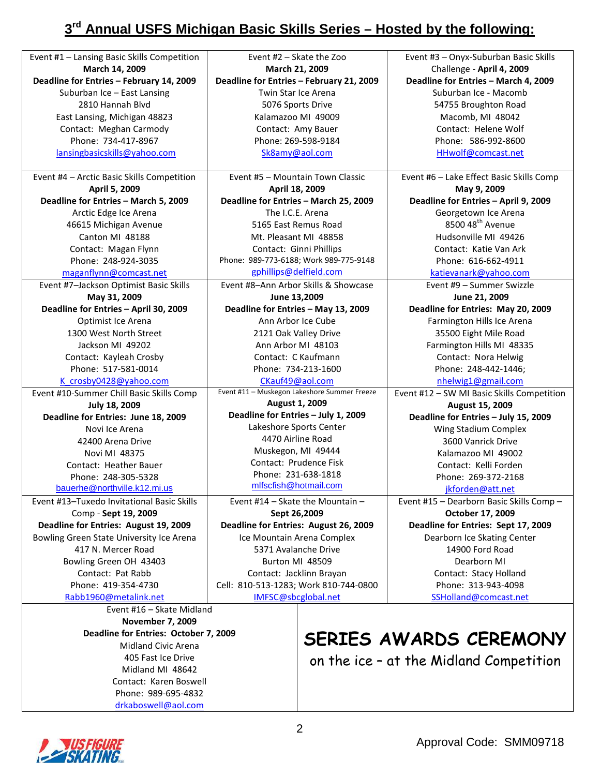## **3 rd Annual USFS Michigan Basic Skills Series – Hosted by the following:**

| Event #1 - Lansing Basic Skills Competition   | Event #2 - Skate the Zoo                     | Event #3 - Onyx-Suburban Basic Skills      |
|-----------------------------------------------|----------------------------------------------|--------------------------------------------|
| March 14, 2009                                | March 21, 2009                               | Challenge - April 4, 2009                  |
| Deadline for Entries - February 14, 2009      | Deadline for Entries - February 21, 2009     | Deadline for Entries - March 4, 2009       |
| Suburban Ice - East Lansing                   | <b>Twin Star Ice Arena</b>                   | Suburban Ice - Macomb                      |
| 2810 Hannah Blvd                              | 5076 Sports Drive                            | 54755 Broughton Road                       |
| East Lansing, Michigan 48823                  | Kalamazoo MI 49009                           | Macomb, MI 48042                           |
| Contact: Meghan Carmody                       | Contact: Amy Bauer                           | Contact: Helene Wolf                       |
| Phone: 734-417-8967                           | Phone: 269-598-9184                          | Phone: 586-992-8600                        |
| lansingbasicskills@yahoo.com                  | Sk8amy@aol.com                               | HHwolf@comcast.net                         |
|                                               |                                              |                                            |
| Event #4 - Arctic Basic Skills Competition    | Event #5 - Mountain Town Classic             | Event #6 - Lake Effect Basic Skills Comp   |
| April 5, 2009                                 | April 18, 2009                               | May 9, 2009                                |
| Deadline for Entries - March 5, 2009          | Deadline for Entries - March 25, 2009        | Deadline for Entries - April 9, 2009       |
| Arctic Edge Ice Arena                         | The I.C.E. Arena                             | Georgetown Ice Arena                       |
| 46615 Michigan Avenue                         | 5165 East Remus Road                         | 8500 48 <sup>th</sup> Avenue               |
| Canton MI 48188                               | Mt. Pleasant MI 48858                        | Hudsonville MI 49426                       |
| Contact: Magan Flynn                          | Contact: Ginni Phillips                      | Contact: Katie Van Ark                     |
| Phone: 248-924-3035                           | Phone: 989-773-6188; Work 989-775-9148       | Phone: 616-662-4911                        |
| maganflynn@comcast.net                        | gphillips@delfield.com                       | katievanark@yahoo.com                      |
| Event #7-Jackson Optimist Basic Skills        | Event #8-Ann Arbor Skills & Showcase         | Event #9 - Summer Swizzle                  |
| May 31, 2009                                  | June 13,2009                                 | June 21, 2009                              |
| Deadline for Entries - April 30, 2009         | Deadline for Entries - May 13, 2009          | Deadline for Entries: May 20, 2009         |
| Optimist Ice Arena                            | Ann Arbor Ice Cube                           | Farmington Hills Ice Arena                 |
| 1300 West North Street                        | 2121 Oak Valley Drive                        | 35500 Eight Mile Road                      |
| Jackson MI 49202                              | Ann Arbor MI 48103                           | Farmington Hills MI 48335                  |
| Contact: Kayleah Crosby                       | Contact: C Kaufmann                          | Contact: Nora Helwig                       |
| Phone: 517-581-0014                           | Phone: 734-213-1600                          | Phone: 248-442-1446;                       |
| K crosby0428@yahoo.com                        | CKauf49@aol.com                              | nhelwig1@gmail.com                         |
| Event #10-Summer Chill Basic Skills Comp      | Event #11 - Muskegon Lakeshore Summer Freeze | Event #12 - SW MI Basic Skills Competition |
| July 18, 2009                                 | August 1, 2009                               | August 15, 2009                            |
| Deadline for Entries: June 18, 2009           | Deadline for Entries - July 1, 2009          | Deadline for Entries - July 15, 2009       |
| Novi Ice Arena                                | Lakeshore Sports Center                      | Wing Stadium Complex                       |
| 42400 Arena Drive                             | 4470 Airline Road                            | 3600 Vanrick Drive                         |
| Novi MI 48375                                 | Muskegon, MI 49444                           | Kalamazoo MI 49002                         |
|                                               |                                              |                                            |
|                                               | Contact: Prudence Fisk                       |                                            |
| Contact: Heather Bauer                        |                                              | Contact: Kelli Forden                      |
| Phone: 248-305-5328                           | Phone: 231-638-1818                          | Phone: 269-372-2168                        |
| bauerhe@northville.k12.mi.us                  | mlfscfish@hotmail.com                        | jkforden@att.net                           |
| Event #13-Tuxedo Invitational Basic Skills    | Event $#14$ – Skate the Mountain –           | Event #15 - Dearborn Basic Skills Comp -   |
| Comp - Sept 19, 2009                          | Sept 26,2009                                 | October 17, 2009                           |
| Deadline for Entries: August 19, 2009         | Deadline for Entries: August 26, 2009        | Deadline for Entries: Sept 17, 2009        |
| Bowling Green State University Ice Arena      | Ice Mountain Arena Complex                   | Dearborn Ice Skating Center                |
| 417 N. Mercer Road                            | 5371 Avalanche Drive                         | 14900 Ford Road                            |
| Bowling Green OH 43403                        | Burton MI 48509                              | Dearborn MI                                |
| Contact: Pat Rabb                             | Contact: Jacklinn Brayan                     | Contact: Stacy Holland                     |
| Phone: 419-354-4730                           | Cell: 810-513-1283; Work 810-744-0800        | Phone: 313-943-4098                        |
| Rabb1960@metalink.net                         | IMFSC@sbcglobal.net                          | SSHolland@comcast.net                      |
| Event #16 - Skate Midland                     |                                              |                                            |
| <b>November 7, 2009</b>                       |                                              |                                            |
| Deadline for Entries: October 7, 2009         |                                              |                                            |
| Midland Civic Arena                           |                                              | SERIES AWARDS CEREMONY                     |
| 405 Fast Ice Drive                            |                                              |                                            |
| Midland MI 48642                              |                                              | on the ice - at the Midland Competition    |
| Contact: Karen Boswell<br>Phone: 989-695-4832 |                                              |                                            |



drkaboswell@aol.com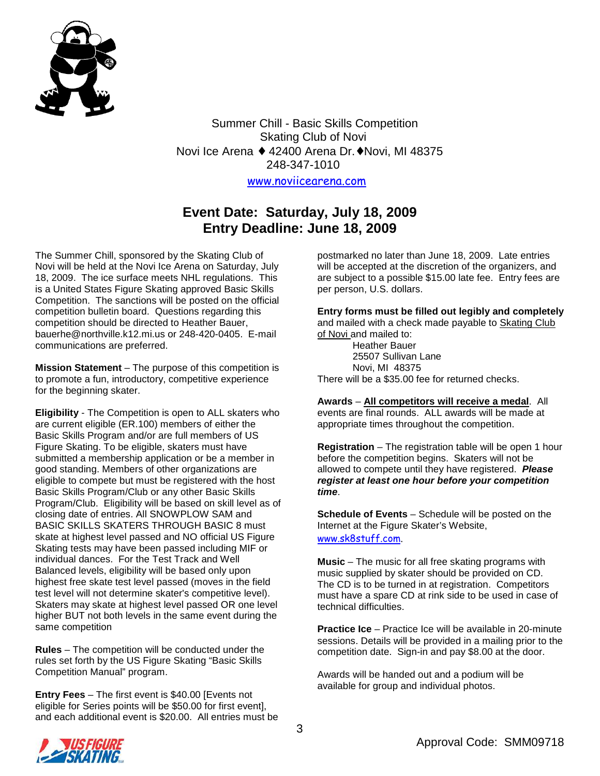

Summer Chill - Basic Skills Competition Skating Club of Novi Novi Ice Arena ♦ 42400 Arena Dr.♦Novi, MI 48375 248-347-1010

www.noviicearena.com

### **Event Date: Saturday, July 18, 2009 Entry Deadline: June 18, 2009**

The Summer Chill, sponsored by the Skating Club of Novi will be held at the Novi Ice Arena on Saturday, July 18, 2009. The ice surface meets NHL regulations. This is a United States Figure Skating approved Basic Skills Competition. The sanctions will be posted on the official competition bulletin board. Questions regarding this competition should be directed to Heather Bauer, bauerhe@northville.k12.mi.us or 248-420-0405. E-mail communications are preferred.

**Mission Statement** – The purpose of this competition is to promote a fun, introductory, competitive experience for the beginning skater.

**Eligibility** - The Competition is open to ALL skaters who are current eligible (ER.100) members of either the Basic Skills Program and/or are full members of US Figure Skating. To be eligible, skaters must have submitted a membership application or be a member in good standing. Members of other organizations are eligible to compete but must be registered with the host Basic Skills Program/Club or any other Basic Skills Program/Club. Eligibility will be based on skill level as of closing date of entries. All SNOWPLOW SAM and BASIC SKILLS SKATERS THROUGH BASIC 8 must skate at highest level passed and NO official US Figure Skating tests may have been passed including MIF or individual dances. For the Test Track and Well Balanced levels, eligibility will be based only upon highest free skate test level passed (moves in the field test level will not determine skater's competitive level). Skaters may skate at highest level passed OR one level higher BUT not both levels in the same event during the same competition

**Rules** – The competition will be conducted under the rules set forth by the US Figure Skating "Basic Skills Competition Manual" program.

**Entry Fees** – The first event is \$40.00 [Events not eligible for Series points will be \$50.00 for first event], and each additional event is \$20.00. All entries must be

postmarked no later than June 18, 2009. Late entries will be accepted at the discretion of the organizers, and are subject to a possible \$15.00 late fee. Entry fees are per person, U.S. dollars.

**Entry forms must be filled out legibly and completely**  and mailed with a check made payable to Skating Club of Novi and mailed to:

> Heather Bauer 25507 Sullivan Lane Novi, MI 48375

There will be a \$35.00 fee for returned checks.

**Awards** – **All competitors will receive a medal**. All events are final rounds. ALL awards will be made at appropriate times throughout the competition.

**Registration** – The registration table will be open 1 hour before the competition begins. Skaters will not be allowed to compete until they have registered. **Please register at least one hour before your competition time**.

**Schedule of Events** – Schedule will be posted on the Internet at the Figure Skater's Website, www.sk8stuff.com.

**Music** – The music for all free skating programs with music supplied by skater should be provided on CD. The CD is to be turned in at registration. Competitors must have a spare CD at rink side to be used in case of technical difficulties.

**Practice Ice** – Practice Ice will be available in 20-minute sessions. Details will be provided in a mailing prior to the competition date. Sign-in and pay \$8.00 at the door.

Awards will be handed out and a podium will be available for group and individual photos.

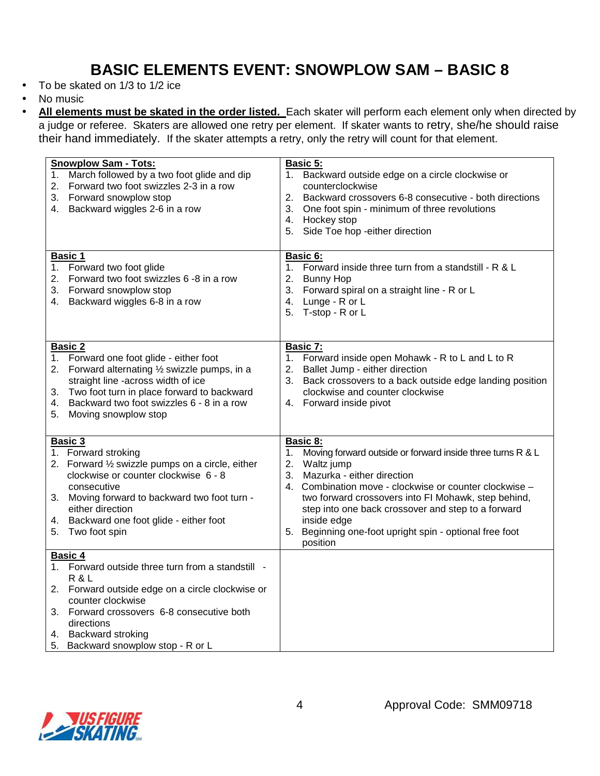# **BASIC ELEMENTS EVENT: SNOWPLOW SAM – BASIC 8**

- To be skated on 1/3 to 1/2 ice
- No music
- **All elements must be skated in the order listed.** Each skater will perform each element only when directed by a judge or referee. Skaters are allowed one retry per element. If skater wants to retry, she/he should raise their hand immediately. If the skater attempts a retry, only the retry will count for that element.

| <b>Snowplow Sam - Tots:</b><br>March followed by a two foot glide and dip<br>1.<br>Forward two foot swizzles 2-3 in a row<br>2.<br>3. Forward snowplow stop<br>4. Backward wiggles 2-6 in a row                                                                                          | <b>Basic 5:</b><br>Backward outside edge on a circle clockwise or<br>1.<br>counterclockwise<br>2.<br>Backward crossovers 6-8 consecutive - both directions<br>3.<br>One foot spin - minimum of three revolutions<br>4. Hockey stop<br>Side Toe hop -either direction<br>5.                                                                                                                                  |
|------------------------------------------------------------------------------------------------------------------------------------------------------------------------------------------------------------------------------------------------------------------------------------------|-------------------------------------------------------------------------------------------------------------------------------------------------------------------------------------------------------------------------------------------------------------------------------------------------------------------------------------------------------------------------------------------------------------|
| Basic 1<br>Forward two foot glide<br>1.<br>Forward two foot swizzles 6 -8 in a row<br>2.<br>3. Forward snowplow stop<br>4. Backward wiggles 6-8 in a row                                                                                                                                 | Basic 6:<br>Forward inside three turn from a standstill - R & L<br>1.<br>2.<br><b>Bunny Hop</b><br>Forward spiral on a straight line - R or L<br>3.<br>4.<br>Lunge - R or L<br>T-stop - R or L<br>5.                                                                                                                                                                                                        |
| <b>Basic 2</b><br>1. Forward one foot glide - either foot<br>2. Forward alternating 1/2 swizzle pumps, in a<br>straight line -across width of ice<br>Two foot turn in place forward to backward<br>3.<br>Backward two foot swizzles 6 - 8 in a row<br>4.<br>Moving snowplow stop<br>5.   | <b>Basic 7:</b><br>1. Forward inside open Mohawk - R to L and L to R<br>Ballet Jump - either direction<br>2.<br>3.<br>Back crossovers to a back outside edge landing position<br>clockwise and counter clockwise<br>4. Forward inside pivot                                                                                                                                                                 |
| Basic 3<br>1. Forward stroking<br>2. Forward $\frac{1}{2}$ swizzle pumps on a circle, either<br>clockwise or counter clockwise 6 - 8<br>consecutive<br>3. Moving forward to backward two foot turn -<br>either direction<br>4. Backward one foot glide - either foot<br>5. Two foot spin | <b>Basic 8:</b><br>Moving forward outside or forward inside three turns R & L<br>1.<br>Waltz jump<br>2.<br>Mazurka - either direction<br>3.<br>4. Combination move - clockwise or counter clockwise -<br>two forward crossovers into FI Mohawk, step behind,<br>step into one back crossover and step to a forward<br>inside edge<br>Beginning one-foot upright spin - optional free foot<br>5.<br>position |
| Basic 4<br>1. Forward outside three turn from a standstill -<br>R & L<br>2. Forward outside edge on a circle clockwise or<br>counter clockwise<br>3. Forward crossovers 6-8 consecutive both<br>directions<br>4. Backward stroking<br>5. Backward snowplow stop - R or L                 |                                                                                                                                                                                                                                                                                                                                                                                                             |

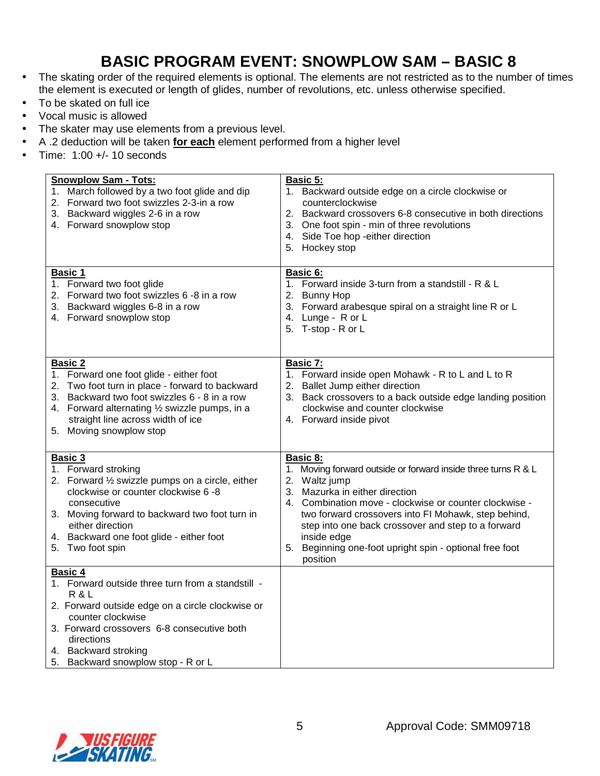# **BASIC PROGRAM EVENT: SNOWPLOW SAM – BASIC 8**

- The skating order of the required elements is optional. The elements are not restricted as to the number of times the element is executed or length of glides, number of revolutions, etc. unless otherwise specified.
- To be skated on full ice
- Vocal music is allowed
- The skater may use elements from a previous level.
- A .2 deduction will be taken **for each** element performed from a higher level
- Time: 1:00 +/- 10 seconds

| <b>Snowplow Sam - Tots:</b><br>1. March followed by a two foot glide and dip<br>2. Forward two foot swizzles 2-3-in a row<br>3. Backward wiggles 2-6 in a row<br>4. Forward snowplow stop                                                                                       | <b>Basic 5:</b><br>1. Backward outside edge on a circle clockwise or<br>counterclockwise<br>2. Backward crossovers 6-8 consecutive in both directions<br>3. One foot spin - min of three revolutions<br>4. Side Toe hop - either direction<br>5. Hockey stop                                                                                                                                        |
|---------------------------------------------------------------------------------------------------------------------------------------------------------------------------------------------------------------------------------------------------------------------------------|-----------------------------------------------------------------------------------------------------------------------------------------------------------------------------------------------------------------------------------------------------------------------------------------------------------------------------------------------------------------------------------------------------|
| <b>Basic 1</b><br>1. Forward two foot glide<br>2. Forward two foot swizzles 6 -8 in a row<br>3. Backward wiggles 6-8 in a row<br>4. Forward snowplow stop                                                                                                                       | <b>Basic 6:</b><br>1. Forward inside 3-turn from a standstill - R & L<br>2. Bunny Hop<br>3. Forward arabesque spiral on a straight line R or L<br>4. Lunge - R or L<br>5. T-stop - R or L                                                                                                                                                                                                           |
| <b>Basic 2</b><br>1. Forward one foot glide - either foot<br>2. Two foot turn in place - forward to backward<br>3. Backward two foot swizzles 6 - 8 in a row<br>4. Forward alternating 1/2 swizzle pumps, in a<br>straight line across width of ice<br>5. Moving snowplow stop  | Basic 7:<br>1. Forward inside open Mohawk - R to L and L to R<br>2. Ballet Jump either direction<br>3. Back crossovers to a back outside edge landing position<br>clockwise and counter clockwise<br>4. Forward inside pivot                                                                                                                                                                        |
| Basic 3<br>1. Forward stroking<br>2. Forward 1/2 swizzle pumps on a circle, either<br>clockwise or counter clockwise 6 -8<br>consecutive<br>3. Moving forward to backward two foot turn in<br>either direction<br>4. Backward one foot glide - either foot<br>5. Two foot spin  | <b>Basic 8:</b><br>1. Moving forward outside or forward inside three turns R & L<br>2. Waltz jump<br>3. Mazurka in either direction<br>4. Combination move - clockwise or counter clockwise -<br>two forward crossovers into FI Mohawk, step behind,<br>step into one back crossover and step to a forward<br>inside edge<br>Beginning one-foot upright spin - optional free foot<br>5.<br>position |
| <b>Basic 4</b><br>1. Forward outside three turn from a standstill -<br>R & L<br>2. Forward outside edge on a circle clockwise or<br>counter clockwise<br>3. Forward crossovers 6-8 consecutive both<br>directions<br>4. Backward stroking<br>5. Backward snowplow stop - R or L |                                                                                                                                                                                                                                                                                                                                                                                                     |

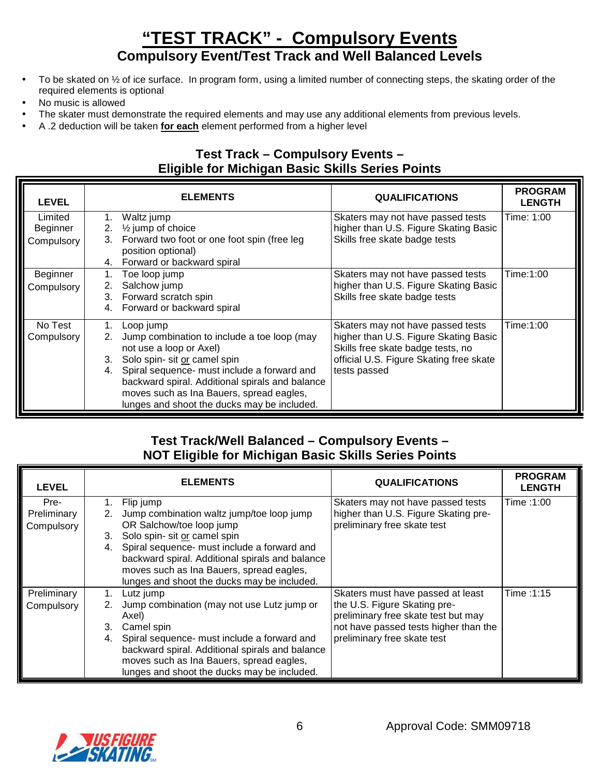# **"TEST TRACK" - Compulsory Events Compulsory Event/Test Track and Well Balanced Levels**

- To be skated on  $\frac{1}{2}$  of ice surface. In program form, using a limited number of connecting steps, the skating order of the required elements is optional
- No music is allowed
- The skater must demonstrate the required elements and may use any additional elements from previous levels.
- A .2 deduction will be taken **for each** element performed from a higher level

### **Test Track – Compulsory Events – Eligible for Michigan Basic Skills Series Points**

| <b>LEVEL</b> |    | <b>ELEMENTS</b>                                                        | <b>QUALIFICATIONS</b>                                                      | <b>PROGRAM</b><br><b>LENGTH</b> |
|--------------|----|------------------------------------------------------------------------|----------------------------------------------------------------------------|---------------------------------|
| Limited      | 1. | Waltz jump                                                             | Skaters may not have passed tests                                          | Time: 1:00                      |
| Beginner     |    | 2. $\frac{1}{2}$ jump of choice                                        | higher than U.S. Figure Skating Basic                                      |                                 |
| Compulsory   | 3. | Forward two foot or one foot spin (free leg<br>position optional)      | Skills free skate badge tests                                              |                                 |
|              |    | 4. Forward or backward spiral                                          |                                                                            |                                 |
| Beginner     | 1. | Toe loop jump                                                          | Skaters may not have passed tests                                          | Time:1:00                       |
| Compulsory   | 2. | Salchow jump                                                           | higher than U.S. Figure Skating Basic                                      |                                 |
|              | 3. | Forward scratch spin                                                   | Skills free skate badge tests                                              |                                 |
|              | 4. | Forward or backward spiral                                             |                                                                            |                                 |
| No Test      | 1. | Loop jump                                                              | Skaters may not have passed tests                                          | Time:1:00                       |
| Compulsory   | 2. | Jump combination to include a toe loop (may<br>not use a loop or Axel) | higher than U.S. Figure Skating Basic<br>Skills free skate badge tests, no |                                 |
|              | 3. | Solo spin- sit or camel spin                                           | official U.S. Figure Skating free skate                                    |                                 |
|              | 4. | Spiral sequence- must include a forward and                            | tests passed                                                               |                                 |
|              |    | backward spiral. Additional spirals and balance                        |                                                                            |                                 |
|              |    | moves such as Ina Bauers, spread eagles,                               |                                                                            |                                 |
|              |    | lunges and shoot the ducks may be included.                            |                                                                            |                                 |

### **Test Track/Well Balanced – Compulsory Events – NOT Eligible for Michigan Basic Skills Series Points**

| <b>LEVEL</b> |    | <b>ELEMENTS</b>                                 | <b>QUALIFICATIONS</b>                 | <b>PROGRAM</b><br><b>LENGTH</b> |
|--------------|----|-------------------------------------------------|---------------------------------------|---------------------------------|
| Pre-         |    | Flip jump                                       | Skaters may not have passed tests     | Time: 1:00                      |
| Preliminary  | 2. | Jump combination waltz jump/toe loop jump       | higher than U.S. Figure Skating pre-  |                                 |
| Compulsory   |    | OR Salchow/toe loop jump                        | preliminary free skate test           |                                 |
|              | 3. | Solo spin- sit or camel spin                    |                                       |                                 |
|              | 4. | Spiral sequence- must include a forward and     |                                       |                                 |
|              |    | backward spiral. Additional spirals and balance |                                       |                                 |
|              |    | moves such as Ina Bauers, spread eagles,        |                                       |                                 |
|              |    | lunges and shoot the ducks may be included.     |                                       |                                 |
| Preliminary  | 1. | Lutz jump                                       | Skaters must have passed at least     | Time: 1:15                      |
| Compulsory   | 2. | Jump combination (may not use Lutz jump or      | the U.S. Figure Skating pre-          |                                 |
|              |    | Axel)                                           | preliminary free skate test but may   |                                 |
|              | 3. | Camel spin                                      | not have passed tests higher than the |                                 |
|              | 4. | Spiral sequence- must include a forward and     | preliminary free skate test           |                                 |
|              |    | backward spiral. Additional spirals and balance |                                       |                                 |
|              |    | moves such as Ina Bauers, spread eagles,        |                                       |                                 |
|              |    | lunges and shoot the ducks may be included.     |                                       |                                 |

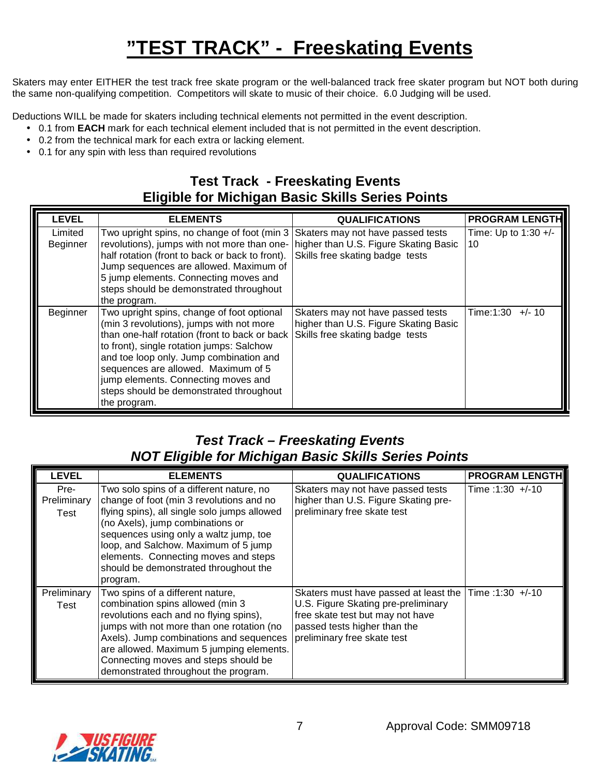# **"TEST TRACK" - Freeskating Events**

Skaters may enter EITHER the test track free skate program or the well-balanced track free skater program but NOT both during the same non-qualifying competition. Competitors will skate to music of their choice. 6.0 Judging will be used.

Deductions WILL be made for skaters including technical elements not permitted in the event description.

- 0.1 from **EACH** mark for each technical element included that is not permitted in the event description.
- 0.2 from the technical mark for each extra or lacking element.
- 0.1 for any spin with less than required revolutions

## **Test Track - Freeskating Events Eligible for Michigan Basic Skills Series Points**

| <b>LEVEL</b>        | <b>ELEMENTS</b>                                                                                                                                                                                                                                                                                                                                                          | <b>QUALIFICATIONS</b>                                                                                         | <b>PROGRAM LENGTH</b>        |
|---------------------|--------------------------------------------------------------------------------------------------------------------------------------------------------------------------------------------------------------------------------------------------------------------------------------------------------------------------------------------------------------------------|---------------------------------------------------------------------------------------------------------------|------------------------------|
| Limited<br>Beginner | Two upright spins, no change of foot (min 3)<br>revolutions), jumps with not more than one-<br>half rotation (front to back or back to front).<br>Jump sequences are allowed. Maximum of<br>5 jump elements. Connecting moves and<br>steps should be demonstrated throughout<br>the program.                                                                             | Skaters may not have passed tests<br>higher than U.S. Figure Skating Basic<br>Skills free skating badge tests | Time: Up to $1:30 +/-$<br>10 |
| Beginner            | Two upright spins, change of foot optional<br>(min 3 revolutions), jumps with not more<br>than one-half rotation (front to back or back<br>to front), single rotation jumps: Salchow<br>and toe loop only. Jump combination and<br>sequences are allowed. Maximum of 5<br>jump elements. Connecting moves and<br>steps should be demonstrated throughout<br>the program. | Skaters may not have passed tests<br>higher than U.S. Figure Skating Basic<br>Skills free skating badge tests | Time:1:30<br>$+/- 10$        |

## **Test Track – Freeskating Events NOT Eligible for Michigan Basic Skills Series Points**

| <b>LEVEL</b>                | <b>ELEMENTS</b>                                                                                                                                                                                                                                                                                                                                         | <b>QUALIFICATIONS</b>                                                                                                                                                           | <b>PROGRAM LENGTH</b> |
|-----------------------------|---------------------------------------------------------------------------------------------------------------------------------------------------------------------------------------------------------------------------------------------------------------------------------------------------------------------------------------------------------|---------------------------------------------------------------------------------------------------------------------------------------------------------------------------------|-----------------------|
| Pre-<br>Preliminary<br>Test | Two solo spins of a different nature, no<br>change of foot (min 3 revolutions and no<br>flying spins), all single solo jumps allowed<br>(no Axels), jump combinations or<br>sequences using only a waltz jump, toe<br>loop, and Salchow. Maximum of 5 jump<br>elements. Connecting moves and steps<br>should be demonstrated throughout the<br>program. | Skaters may not have passed tests<br>higher than U.S. Figure Skating pre-<br>preliminary free skate test                                                                        | Time: $1:30 +/-10$    |
| Preliminary<br>Test         | Two spins of a different nature,<br>combination spins allowed (min 3<br>revolutions each and no flying spins),<br>jumps with not more than one rotation (no<br>Axels). Jump combinations and sequences<br>are allowed. Maximum 5 jumping elements.<br>Connecting moves and steps should be<br>demonstrated throughout the program.                      | Skaters must have passed at least the<br>U.S. Figure Skating pre-preliminary<br>free skate test but may not have<br>passed tests higher than the<br>preliminary free skate test | Time: $1:30 +/-10$    |

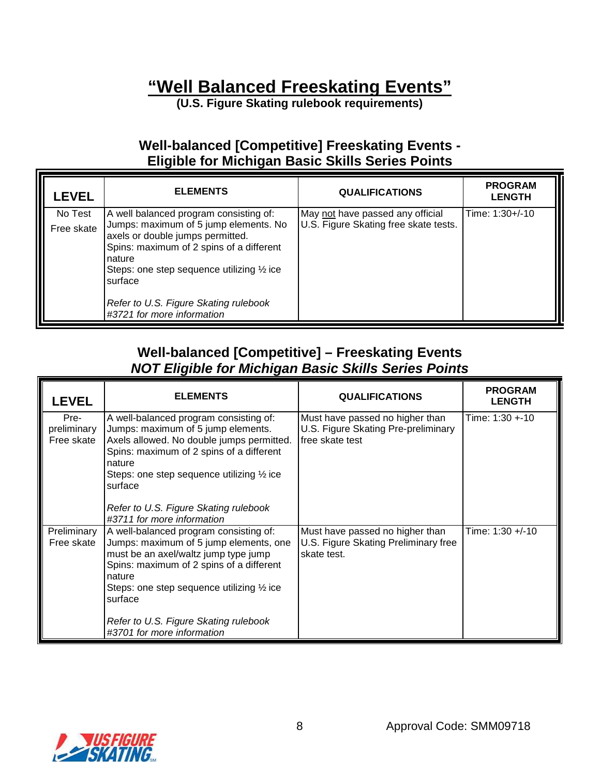# **"Well Balanced Freeskating Events"**

**(U.S. Figure Skating rulebook requirements)** 

## **Well-balanced [Competitive] Freeskating Events - Eligible for Michigan Basic Skills Series Points**

| <b>LEVEL</b>          | <b>ELEMENTS</b>                                                                                                                                                                                                                              | <b>QUALIFICATIONS</b>                                                     | <b>PROGRAM</b><br><b>LENGTH</b> |
|-----------------------|----------------------------------------------------------------------------------------------------------------------------------------------------------------------------------------------------------------------------------------------|---------------------------------------------------------------------------|---------------------------------|
| No Test<br>Free skate | A well balanced program consisting of:<br>Jumps: maximum of 5 jump elements. No<br>axels or double jumps permitted.<br>Spins: maximum of 2 spins of a different<br>nature<br>Steps: one step sequence utilizing $\frac{1}{2}$ ice<br>surface | May not have passed any official<br>U.S. Figure Skating free skate tests. | Time: 1:30+/-10                 |
|                       | Refer to U.S. Figure Skating rulebook<br>#3721 for more information                                                                                                                                                                          |                                                                           |                                 |

## **Well-balanced [Competitive] – Freeskating Events NOT Eligible for Michigan Basic Skills Series Points**

| <b>LEVEL</b>                      | <b>ELEMENTS</b>                                                                                                                                                                                                                                                                                                           | <b>QUALIFICATIONS</b>                                                                     | <b>PROGRAM</b><br><b>LENGTH</b> |
|-----------------------------------|---------------------------------------------------------------------------------------------------------------------------------------------------------------------------------------------------------------------------------------------------------------------------------------------------------------------------|-------------------------------------------------------------------------------------------|---------------------------------|
| Pre-<br>preliminary<br>Free skate | A well-balanced program consisting of:<br>Jumps: maximum of 5 jump elements.<br>Axels allowed. No double jumps permitted.<br>Spins: maximum of 2 spins of a different<br>nature<br>Steps: one step sequence utilizing $\frac{1}{2}$ ice<br>surface<br>Refer to U.S. Figure Skating rulebook<br>#3711 for more information | Must have passed no higher than<br>U.S. Figure Skating Pre-preliminary<br>free skate test | Time: 1:30 +-10                 |
| Preliminary<br>Free skate         | A well-balanced program consisting of:<br>Jumps: maximum of 5 jump elements, one<br>must be an axel/waltz jump type jump<br>Spins: maximum of 2 spins of a different<br>nature<br>Steps: one step sequence utilizing $\frac{1}{2}$ ice<br>surface<br>Refer to U.S. Figure Skating rulebook<br>#3701 for more information  | Must have passed no higher than<br>U.S. Figure Skating Preliminary free<br>skate test.    | Time: 1:30 +/-10                |

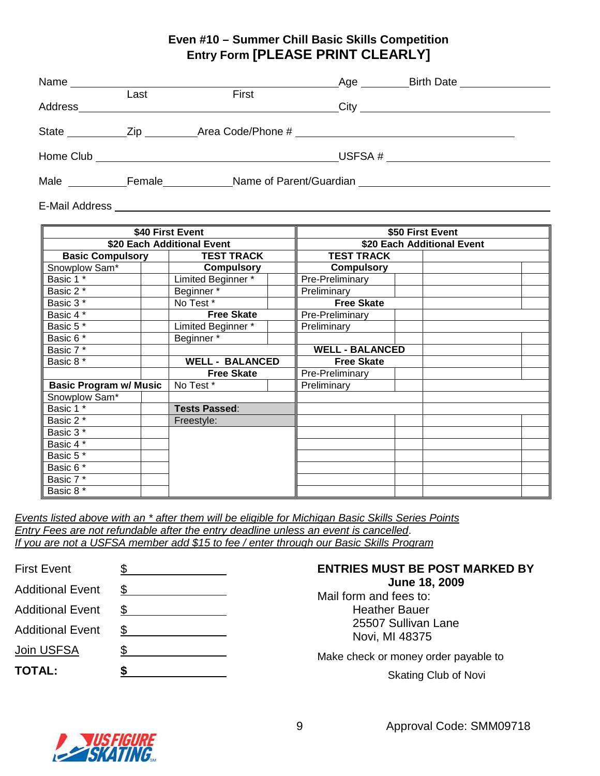### **Even #10 – Summer Chill Basic Skills Competition Entry Form [PLEASE PRINT CLEARLY]**

| Name         |        |                                                                                                                      | Age | <b>Birth Date</b>                                                                                                    |  |
|--------------|--------|----------------------------------------------------------------------------------------------------------------------|-----|----------------------------------------------------------------------------------------------------------------------|--|
| Address      | Last   | First                                                                                                                |     |                                                                                                                      |  |
| <b>State</b> | Zip    | Area Code/Phone #                                                                                                    |     | <u> 1989 - Jan Samuel Barbara, martin da shekara tsara 1989 - An tsara 1989 - An tsara 1989 - An tsara 1989 - An</u> |  |
| Home Club    |        | <u> 1980 - Jan Stein Stein Stein Stein Stein Stein Stein Stein Stein Stein Stein Stein Stein Stein Stein Stein S</u> |     | USFSA # $\sqrt{2\pi}$                                                                                                |  |
| Male         | Female | Name of Parent/Guardian                                                                                              |     |                                                                                                                      |  |

E-Mail Address

| \$40 First Event              |  | \$50 First Event           |  |                        |  |  |  |
|-------------------------------|--|----------------------------|--|------------------------|--|--|--|
| \$20 Each Additional Event    |  | \$20 Each Additional Event |  |                        |  |  |  |
| <b>Basic Compulsory</b>       |  | <b>TEST TRACK</b>          |  | <b>TEST TRACK</b>      |  |  |  |
| Snowplow Sam*                 |  | <b>Compulsory</b>          |  | <b>Compulsory</b>      |  |  |  |
| Basic 1 *                     |  | Limited Beginner*          |  | Pre-Preliminary        |  |  |  |
| Basic 2 *                     |  | Beginner*                  |  | Preliminary            |  |  |  |
| Basic 3*                      |  | No Test*                   |  | <b>Free Skate</b>      |  |  |  |
| Basic 4 *                     |  | <b>Free Skate</b>          |  | Pre-Preliminary        |  |  |  |
| Basic $5*$                    |  | Limited Beginner*          |  | Preliminary            |  |  |  |
| Basic 6 <sup>*</sup>          |  | Beginner*                  |  |                        |  |  |  |
| Basic 7*                      |  |                            |  | <b>WELL - BALANCED</b> |  |  |  |
| Basic 8 *                     |  | <b>WELL - BALANCED</b>     |  | <b>Free Skate</b>      |  |  |  |
|                               |  | <b>Free Skate</b>          |  | Pre-Preliminary        |  |  |  |
| <b>Basic Program w/ Music</b> |  | No Test*                   |  | Preliminary            |  |  |  |
| Snowplow Sam*                 |  |                            |  |                        |  |  |  |
| Basic $1^*$                   |  | <b>Tests Passed:</b>       |  |                        |  |  |  |
| Basic 2 *                     |  | Freestyle:                 |  |                        |  |  |  |
| Basic 3 *                     |  |                            |  |                        |  |  |  |
| Basic 4 *                     |  |                            |  |                        |  |  |  |
| Basic $5^{\overline{x}}$      |  |                            |  |                        |  |  |  |
| Basic $6*$                    |  |                            |  |                        |  |  |  |
| Basic $7^{\overline{*}}$      |  |                            |  |                        |  |  |  |
| Basic 8 *                     |  |                            |  |                        |  |  |  |

Events listed above with an \* after them will be eligible for Michigan Basic Skills Series Points Entry Fees are not refundable after the entry deadline unless an event is cancelled. If you are not a USFSA member add \$15 to fee / enter through our Basic Skills Program

| <b>First Event</b>      |     |
|-------------------------|-----|
| <b>Additional Event</b> | S   |
| <b>Additional Event</b> | \$  |
| <b>Additional Event</b> | \$  |
| <b>Join USFSA</b>       | \$. |
| <b>TOTAL:</b>           |     |
|                         |     |

### **ENTRIES MUST BE POST MARKED BY June 18, 2009**

Mail form and fees to: Heather Bauer 25507 Sullivan Lane Novi, MI 48375

Make check or money order payable to

Skating Club of Novi